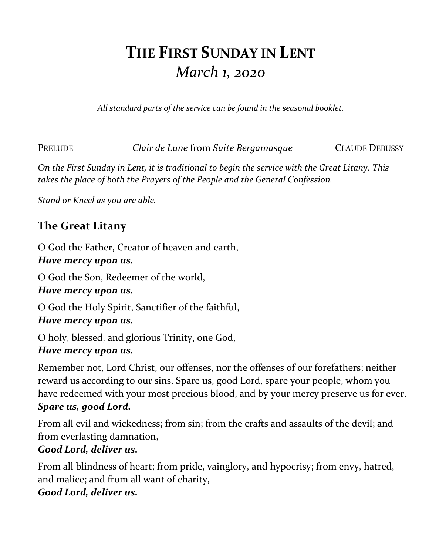# **THE FIRST SUNDAY IN LENT** *March 1, 2020*

*All standard parts of the service can be found in the seasonal booklet.* 

PRELUDE *Clair de Lune* from *Suite Bergamasque* CLAUDE DEBUSSY

*On the First Sunday in Lent, it is traditional to begin the service with the Great Litany. This takes the place of both the Prayers of the People and the General Confession.* 

*Stand or Kneel as you are able.* 

# **The Great Litany**

O God the Father, Creator of heaven and earth,

#### *Have mercy upon us.*

O God the Son, Redeemer of the world,

#### *Have mercy upon us.*

O God the Holy Spirit, Sanctifier of the faithful,

#### *Have mercy upon us.*

O holy, blessed, and glorious Trinity, one God,

#### *Have mercy upon us.*

Remember not, Lord Christ, our offenses, nor the offenses of our forefathers; neither reward us according to our sins. Spare us, good Lord, spare your people, whom you have redeemed with your most precious blood, and by your mercy preserve us for ever. *Spare us, good Lord.*

From all evil and wickedness; from sin; from the crafts and assaults of the devil; and from everlasting damnation,

#### *Good Lord, deliver us.*

From all blindness of heart; from pride, vainglory, and hypocrisy; from envy, hatred, and malice; and from all want of charity,

#### *Good Lord, deliver us.*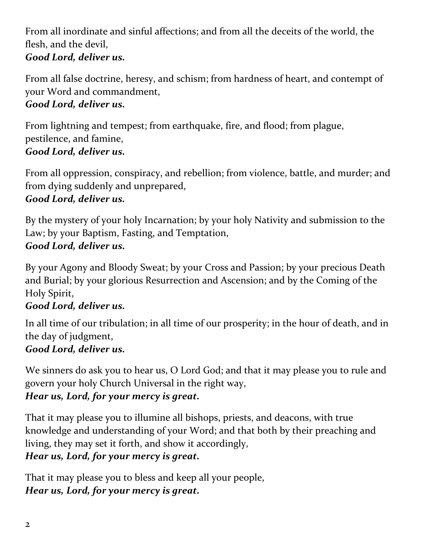From all inordinate and sinful affections; and from all the deceits of the world, the flesh, and the devil, *Good Lord, deliver us.*

From all false doctrine, heresy, and schism; from hardness of heart, and contempt of your Word and commandment,

# *Good Lord, deliver us.*

From lightning and tempest; from earthquake, fire, and flood; from plague, pestilence, and famine, *Good Lord, deliver us.*

From all oppression, conspiracy, and rebellion; from violence, battle, and murder; and from dying suddenly and unprepared, *Good Lord, deliver us.*

By the mystery of your holy Incarnation; by your holy Nativity and submission to the Law; by your Baptism, Fasting, and Temptation, *Good Lord, deliver us.*

By your Agony and Bloody Sweat; by your Cross and Passion; by your precious Death and Burial; by your glorious Resurrection and Ascension; and by the Coming of the Holy Spirit,

# *Good Lord, deliver us.*

In all time of our tribulation; in all time of our prosperity; in the hour of death, and in the day of judgment, *Good Lord, deliver us.*

We sinners do ask you to hear us, O Lord God; and that it may please you to rule and govern your holy Church Universal in the right way, *Hear us, Lord, for your mercy is great.*

That it may please you to illumine all bishops, priests, and deacons, with true knowledge and understanding of your Word; and that both by their preaching and living, they may set it forth, and show it accordingly, *Hear us, Lord, for your mercy is great.*

That it may please you to bless and keep all your people, *Hear us, Lord, for your mercy is great.*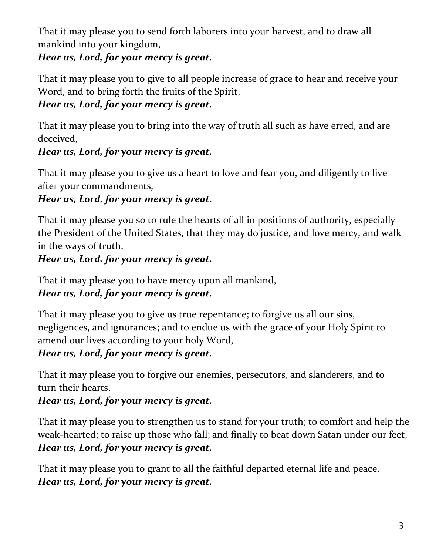That it may please you to send forth laborers into your harvest, and to draw all mankind into your kingdom,

# *Hear us, Lord, for your mercy is great.*

That it may please you to give to all people increase of grace to hear and receive your Word, and to bring forth the fruits of the Spirit,

### *Hear us, Lord, for your mercy is great.*

That it may please you to bring into the way of truth all such as have erred, and are deceived,

#### *Hear us, Lord, for your mercy is great.*

That it may please you to give us a heart to love and fear you, and diligently to live after your commandments,

*Hear us, Lord, for your mercy is great.*

That it may please you so to rule the hearts of all in positions of authority, especially the President of the United States, that they may do justice, and love mercy, and walk in the ways of truth,

#### *Hear us, Lord, for your mercy is great.*

That it may please you to have mercy upon all mankind, *Hear us, Lord, for your mercy is great.*

That it may please you to give us true repentance; to forgive us all our sins, negligences, and ignorances; and to endue us with the grace of your Holy Spirit to amend our lives according to your holy Word,

#### *Hear us, Lord, for your mercy is great.*

That it may please you to forgive our enemies, persecutors, and slanderers, and to turn their hearts,

#### *Hear us, Lord, for your mercy is great.*

That it may please you to strengthen us to stand for your truth; to comfort and help the weak-hearted; to raise up those who fall; and finally to beat down Satan under our feet, *Hear us, Lord, for your mercy is great.*

That it may please you to grant to all the faithful departed eternal life and peace, *Hear us, Lord, for your mercy is great.*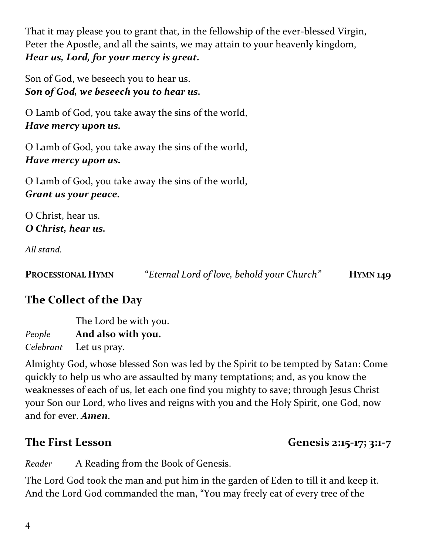That it may please you to grant that, in the fellowship of the ever-blessed Virgin, Peter the Apostle, and all the saints, we may attain to your heavenly kingdom, *Hear us, Lord, for your mercy is great.*

Son of God, we beseech you to hear us. *Son of God, we beseech you to hear us.*

O Lamb of God, you take away the sins of the world, *Have mercy upon us.*

O Lamb of God, you take away the sins of the world, *Have mercy upon us.*

O Lamb of God, you take away the sins of the world, *Grant us your peace.*

O Christ, hear us. *O Christ, hear us.*

*All stand.* 

| PROCESSIONAL HYMN | "Eternal Lord of love, behold your Church" | <b>HYMN 149</b> |
|-------------------|--------------------------------------------|-----------------|
|                   |                                            |                 |

# **The Collect of the Day**

The Lord be with you. *People* **And also with you.** *Celebrant* Let us pray.

Almighty God, whose blessed Son was led by the Spirit to be tempted by Satan: Come quickly to help us who are assaulted by many temptations; and, as you know the weaknesses of each of us, let each one find you mighty to save; through Jesus Christ your Son our Lord, who lives and reigns with you and the Holy Spirit, one God, now and for ever. *Amen*.

# **The First Lesson Genesis 2:15-17; 3:1-7**

*Reader* A Reading from the Book of Genesis.

The Lord God took the man and put him in the garden of Eden to till it and keep it. And the Lord God commanded the man, "You may freely eat of every tree of the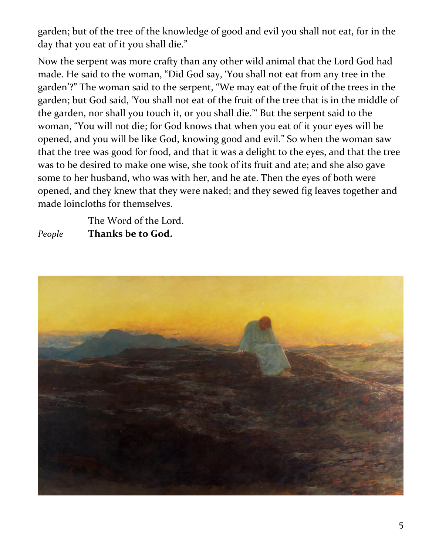garden; but of the tree of the knowledge of good and evil you shall not eat, for in the day that you eat of it you shall die."

Now the serpent was more crafty than any other wild animal that the Lord God had made. He said to the woman, "Did God say, 'You shall not eat from any tree in the garden'?" The woman said to the serpent, "We may eat of the fruit of the trees in the garden; but God said, 'You shall not eat of the fruit of the tree that is in the middle of the garden, nor shall you touch it, or you shall die.'" But the serpent said to the woman, "You will not die; for God knows that when you eat of it your eyes will be opened, and you will be like God, knowing good and evil." So when the woman saw that the tree was good for food, and that it was a delight to the eyes, and that the tree was to be desired to make one wise, she took of its fruit and ate; and she also gave some to her husband, who was with her, and he ate. Then the eyes of both were opened, and they knew that they were naked; and they sewed fig leaves together and made loincloths for themselves.

The Word of the Lord. *People* **Thanks be to God.**

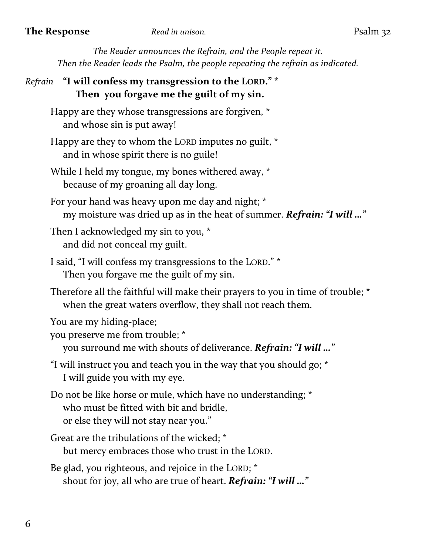# **The Response** *Read in unison.* Psalm 32

*The Reader announces the Refrain, and the People repeat it. Then the Reader leads the Psalm, the people repeating the refrain as indicated.*

| Refrain "I will confess my transgression to the LORD." *<br>Then you forgave me the guilt of my sin.                                             |
|--------------------------------------------------------------------------------------------------------------------------------------------------|
| Happy are they whose transgressions are forgiven, *<br>and whose sin is put away!                                                                |
| Happy are they to whom the LORD imputes no guilt, *<br>and in whose spirit there is no guile!                                                    |
| While I held my tongue, my bones withered away, *<br>because of my groaning all day long.                                                        |
| For your hand was heavy upon me day and night; *<br>my moisture was dried up as in the heat of summer. Refrain: "I will "                        |
| Then I acknowledged my sin to you, *<br>and did not conceal my guilt.                                                                            |
| I said, "I will confess my transgressions to the LORD." *<br>Then you forgave me the guilt of my sin.                                            |
| Therefore all the faithful will make their prayers to you in time of trouble; *<br>when the great waters overflow, they shall not reach them.    |
| You are my hiding-place;<br>you preserve me from trouble; *<br>you surround me with shouts of deliverance. <b>Refrain: "I will"</b>              |
| "I will instruct you and teach you in the way that you should go; *<br>I will guide you with my eye.                                             |
| Do not be like horse or mule, which have no understanding; *<br>who must be fitted with bit and bridle,<br>or else they will not stay near you." |
| Great are the tribulations of the wicked; *<br>but mercy embraces those who trust in the LORD.                                                   |
| Be glad, you righteous, and rejoice in the LORD; *<br>shout for joy, all who are true of heart. <b>Refrain: "I will"</b>                         |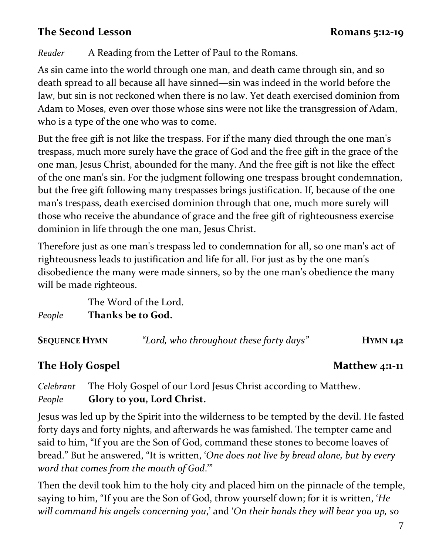# **The Second Lesson Romans 5:12-19**

#### *Reader* A Reading from the Letter of Paul to the Romans.

As sin came into the world through one man, and death came through sin, and so death spread to all because all have sinned—sin was indeed in the world before the law, but sin is not reckoned when there is no law. Yet death exercised dominion from Adam to Moses, even over those whose sins were not like the transgression of Adam, who is a type of the one who was to come.

But the free gift is not like the trespass. For if the many died through the one man's trespass, much more surely have the grace of God and the free gift in the grace of the one man, Jesus Christ, abounded for the many. And the free gift is not like the effect of the one man's sin. For the judgment following one trespass brought condemnation, but the free gift following many trespasses brings justification. If, because of the one man's trespass, death exercised dominion through that one, much more surely will those who receive the abundance of grace and the free gift of righteousness exercise dominion in life through the one man, Jesus Christ.

Therefore just as one man's trespass led to condemnation for all, so one man's act of righteousness leads to justification and life for all. For just as by the one man's disobedience the many were made sinners, so by the one man's obedience the many will be made righteous.

The Word of the Lord. *People* **Thanks be to God.**

**SEQUENCE HYMN** *"Lord, who throughout these forty days"* **HYMN** 142

#### **The Holy Gospel Matthew 4:1-11**

*Celebrant* The Holy Gospel of our Lord Jesus Christ according to Matthew. *People* **Glory to you, Lord Christ.**

Jesus was led up by the Spirit into the wilderness to be tempted by the devil. He fasted forty days and forty nights, and afterwards he was famished. The tempter came and said to him, "If you are the Son of God, command these stones to become loaves of bread." But he answered, "It is written, '*One does not live by bread alone, but by every word that comes from the mouth of God*.'"

Then the devil took him to the holy city and placed him on the pinnacle of the temple, saying to him, "If you are the Son of God, throw yourself down; for it is written, '*He will command his angels concerning you*,' and '*On their hands they will bear you up, so*